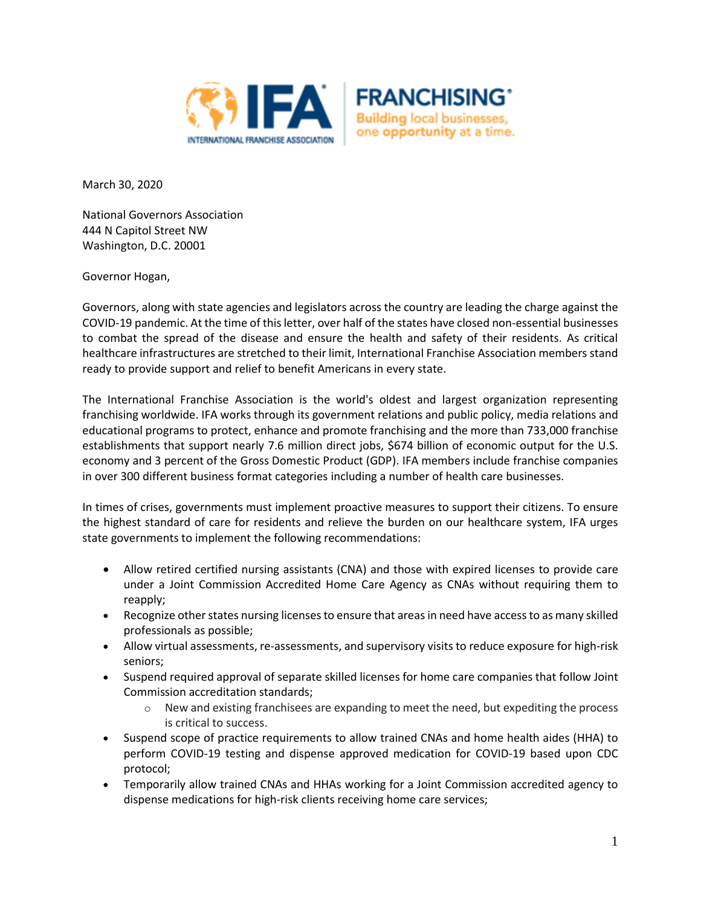



March 30, 2020

National Governors Association 444 N Capitol Street NW Washington, D.C. 20001

Governor Hogan,

Governors, along with state agencies and legislators across the country are leading the charge against the COVID-19 pandemic. At the time of this letter, over half of the states have closed non-essential businesses to combat the spread of the disease and ensure the health and safety of their residents. As critical healthcare infrastructures are stretched to their limit, International Franchise Association members stand ready to provide support and relief to benefit Americans in every state.

The International Franchise Association is the world's oldest and largest organization representing franchising worldwide. IFA works through its government relations and public policy, media relations and educational programs to protect, enhance and promote franchising and the more than 733,000 franchise establishments that support nearly 7.6 million direct jobs, \$674 billion of economic output for the U.S. economy and 3 percent of the Gross Domestic Product (GDP). IFA members include franchise companies in over 300 different business format categories including a number of health care businesses.

In times of crises, governments must implement proactive measures to support their citizens. To ensure the highest standard of care for residents and relieve the burden on our healthcare system, IFA urges state governments to implement the following recommendations:

- Allow retired certified nursing assistants (CNA) and those with expired licenses to provide care under a Joint Commission Accredited Home Care Agency as CNAs without requiring them to reapply;
- Recognize other states nursing licenses to ensure that areas in need have access to as many skilled professionals as possible;
- Allow virtual assessments, re-assessments, and supervisory visits to reduce exposure for high-risk seniors;
- Suspend required approval of separate skilled licenses for home care companies that follow Joint Commission accreditation standards;
	- $\circ$  New and existing franchisees are expanding to meet the need, but expediting the process is critical to success.
- Suspend scope of practice requirements to allow trained CNAs and home health aides (HHA) to perform COVID-19 testing and dispense approved medication for COVID-19 based upon CDC protocol;
- Temporarily allow trained CNAs and HHAs working for a Joint Commission accredited agency to dispense medications for high-risk clients receiving home care services;